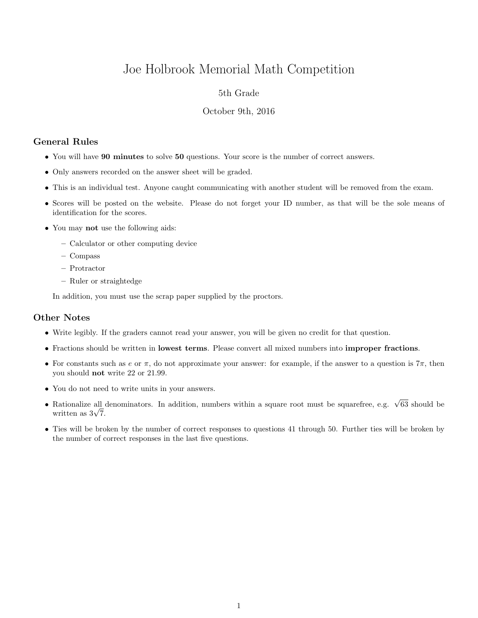# Joe Holbrook Memorial Math Competition

## 5th Grade

#### October 9th, 2016

# General Rules

- You will have 90 minutes to solve 50 questions. Your score is the number of correct answers.
- Only answers recorded on the answer sheet will be graded.
- This is an individual test. Anyone caught communicating with another student will be removed from the exam.
- Scores will be posted on the website. Please do not forget your ID number, as that will be the sole means of identification for the scores.
- You may not use the following aids:
	- Calculator or other computing device
	- Compass
	- Protractor
	- Ruler or straightedge

In addition, you must use the scrap paper supplied by the proctors.

## Other Notes

- Write legibly. If the graders cannot read your answer, you will be given no credit for that question.
- Fractions should be written in lowest terms. Please convert all mixed numbers into improper fractions.
- For constants such as e or  $\pi$ , do not approximate your answer: for example, if the answer to a question is  $7\pi$ , then you should not write 22 or 21.99.
- You do not need to write units in your answers.
- Rationalize all denominators. In addition, numbers within a square root must be squarefree, e.g.  $\sqrt{63}$  should be Rationalize all  $\frac{1}{\sqrt{7}}$ .
- Ties will be broken by the number of correct responses to questions 41 through 50. Further ties will be broken by the number of correct responses in the last five questions.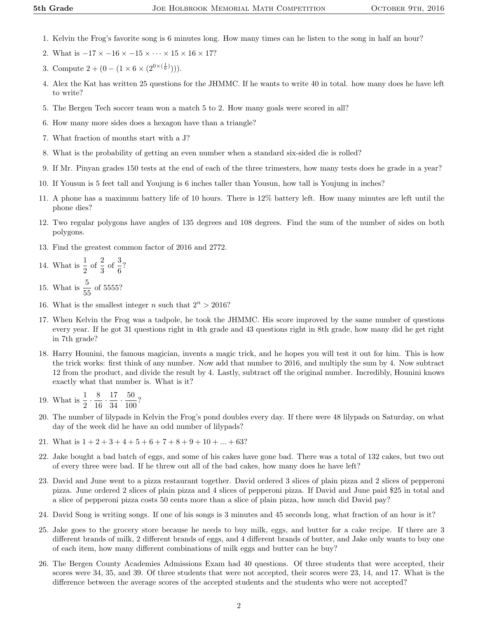- 1. Kelvin the Frog's favorite song is 6 minutes long. How many times can he listen to the song in half an hour?
- 2. What is  $-17 \times -16 \times -15 \times \cdots \times 15 \times 16 \times 17$ ?
- 3. Compute  $2 + (0 (1 \times 6 \times (2^{0 \times (\frac{1}{6})}))).$
- 4. Alex the Kat has written 25 questions for the JHMMC. If he wants to write 40 in total. how many does he have left to write?
- 5. The Bergen Tech soccer team won a match 5 to 2. How many goals were scored in all?
- 6. How many more sides does a hexagon have than a triangle?
- 7. What fraction of months start with a J?
- 8. What is the probability of getting an even number when a standard six-sided die is rolled?
- 9. If Mr. Pinyan grades 150 tests at the end of each of the three trimesters, how many tests does he grade in a year?
- 10. If Yousun is 5 feet tall and Youjung is 6 inches taller than Yousun, how tall is Youjung in inches?
- 11. A phone has a maximum battery life of 10 hours. There is 12% battery left. How many minutes are left until the phone dies?
- 12. Two regular polygons have angles of 135 degrees and 108 degrees. Find the sum of the number of sides on both polygons.
- 13. Find the greatest common factor of 2016 and 2772.
- 14. What is  $\frac{1}{2}$  of  $\frac{2}{3}$  of  $\frac{3}{6}$ ?

15. What is  $\frac{5}{55}$  of 5555?

- 16. What is the smallest integer n such that  $2^n > 2016$ ?
- 17. When Kelvin the Frog was a tadpole, he took the JHMMC. His score improved by the same number of questions every year. If he got 31 questions right in 4th grade and 43 questions right in 8th grade, how many did he get right in 7th grade?
- 18. Harry Hounini, the famous magician, invents a magic trick, and he hopes you will test it out for him. This is how the trick works: first think of any number. Now add that number to 2016, and multiply the sum by 4. Now subtract 12 from the product, and divide the result by 4. Lastly, subtract off the original number. Incredibly, Hounini knows exactly what that number is. What is it?
- 19. What is  $\frac{1}{2} \cdot \frac{8}{16}$  $\frac{8}{16} \cdot \frac{17}{34}$  $\frac{17}{34} \cdot \frac{50}{100}$  $\frac{30}{100}$ ?
- 20. The number of lilypads in Kelvin the Frog's pond doubles every day. If there were 48 lilypads on Saturday, on what day of the week did he have an odd number of lilypads?
- 21. What is  $1 + 2 + 3 + 4 + 5 + 6 + 7 + 8 + 9 + 10 + \ldots + 63$ ?
- 22. Jake bought a bad batch of eggs, and some of his cakes have gone bad. There was a total of 132 cakes, but two out of every three were bad. If he threw out all of the bad cakes, how many does he have left?
- 23. David and June went to a pizza restaurant together. David ordered 3 slices of plain pizza and 2 slices of pepperoni pizza. June ordered 2 slices of plain pizza and 4 slices of pepperoni pizza. If David and June paid \$25 in total and a slice of pepperoni pizza costs 50 cents more than a slice of plain pizza, how much did David pay?
- 24. David Song is writing songs. If one of his songs is 3 minutes and 45 seconds long, what fraction of an hour is it?
- 25. Jake goes to the grocery store because he needs to buy milk, eggs, and butter for a cake recipe. If there are 3 different brands of milk, 2 different brands of eggs, and 4 different brands of butter, and Jake only wants to buy one of each item, how many different combinations of milk eggs and butter can he buy?
- 26. The Bergen County Academies Admissions Exam had 40 questions. Of three students that were accepted, their scores were 34, 35, and 39. Of three students that were not accepted, their scores were 23, 14, and 17. What is the difference between the average scores of the accepted students and the students who were not accepted?